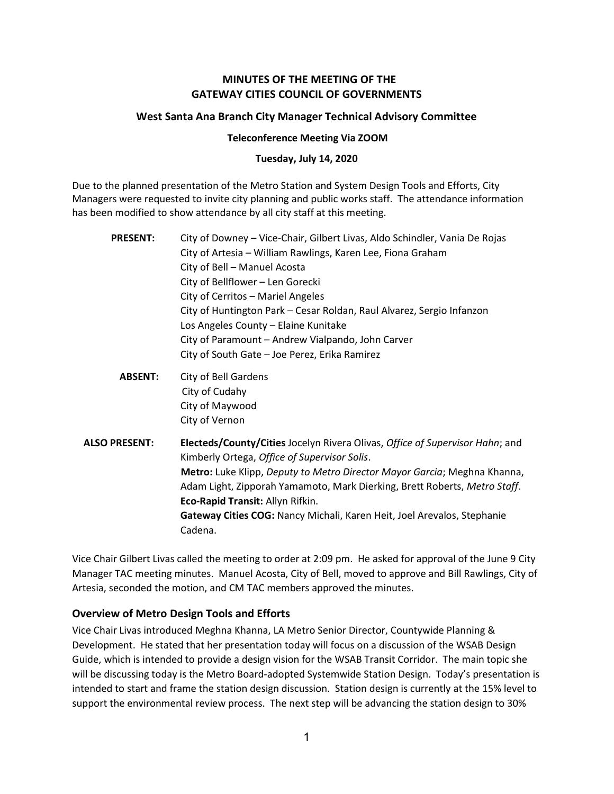# MINUTES OF THE MEETING OF THE GATEWAY CITIES COUNCIL OF GOVERNMENTS

## West Santa Ana Branch City Manager Technical Advisory Committee

#### Teleconference Meeting Via ZOOM

#### Tuesday, July 14, 2020

Due to the planned presentation of the Metro Station and System Design Tools and Efforts, City Managers were requested to invite city planning and public works staff. The attendance information has been modified to show attendance by all city staff at this meeting.

| <b>PRESENT:</b>      | City of Downey – Vice-Chair, Gilbert Livas, Aldo Schindler, Vania De Rojas<br>City of Artesia - William Rawlings, Karen Lee, Fiona Graham<br>City of Bell - Manuel Acosta<br>City of Bellflower - Len Gorecki<br>City of Cerritos - Mariel Angeles<br>City of Huntington Park - Cesar Roldan, Raul Alvarez, Sergio Infanzon<br>Los Angeles County - Elaine Kunitake<br>City of Paramount - Andrew Vialpando, John Carver<br>City of South Gate - Joe Perez, Erika Ramirez |
|----------------------|---------------------------------------------------------------------------------------------------------------------------------------------------------------------------------------------------------------------------------------------------------------------------------------------------------------------------------------------------------------------------------------------------------------------------------------------------------------------------|
| <b>ABSENT:</b>       | City of Bell Gardens<br>City of Cudahy<br>City of Maywood<br>City of Vernon                                                                                                                                                                                                                                                                                                                                                                                               |
| <b>ALSO PRESENT:</b> | Electeds/County/Cities Jocelyn Rivera Olivas, Office of Supervisor Hahn; and<br>Kimberly Ortega, Office of Supervisor Solis.<br>Metro: Luke Klipp, Deputy to Metro Director Mayor Garcia; Meghna Khanna,<br>Adam Light, Zipporah Yamamoto, Mark Dierking, Brett Roberts, Metro Staff.<br>Eco-Rapid Transit: Allyn Rifkin.<br>Gateway Cities COG: Nancy Michali, Karen Heit, Joel Arevalos, Stephanie<br>Cadena.                                                           |

Vice Chair Gilbert Livas called the meeting to order at 2:09 pm. He asked for approval of the June 9 City Manager TAC meeting minutes. Manuel Acosta, City of Bell, moved to approve and Bill Rawlings, City of Artesia, seconded the motion, and CM TAC members approved the minutes.

#### Overview of Metro Design Tools and Efforts

Vice Chair Livas introduced Meghna Khanna, LA Metro Senior Director, Countywide Planning & Development. He stated that her presentation today will focus on a discussion of the WSAB Design Guide, which is intended to provide a design vision for the WSAB Transit Corridor. The main topic she will be discussing today is the Metro Board-adopted Systemwide Station Design. Today's presentation is intended to start and frame the station design discussion. Station design is currently at the 15% level to support the environmental review process. The next step will be advancing the station design to 30%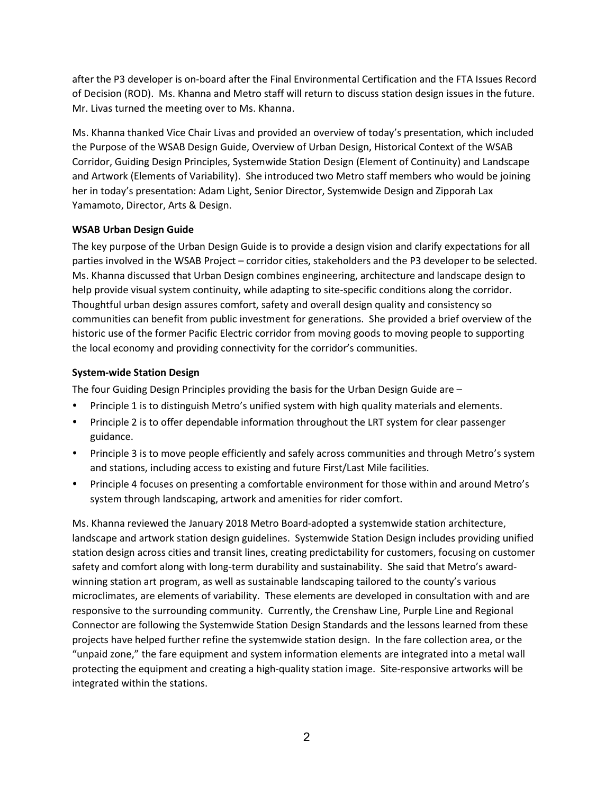after the P3 developer is on-board after the Final Environmental Certification and the FTA Issues Record of Decision (ROD). Ms. Khanna and Metro staff will return to discuss station design issues in the future. Mr. Livas turned the meeting over to Ms. Khanna.

Ms. Khanna thanked Vice Chair Livas and provided an overview of today's presentation, which included the Purpose of the WSAB Design Guide, Overview of Urban Design, Historical Context of the WSAB Corridor, Guiding Design Principles, Systemwide Station Design (Element of Continuity) and Landscape and Artwork (Elements of Variability). She introduced two Metro staff members who would be joining her in today's presentation: Adam Light, Senior Director, Systemwide Design and Zipporah Lax Yamamoto, Director, Arts & Design.

### WSAB Urban Design Guide

The key purpose of the Urban Design Guide is to provide a design vision and clarify expectations for all parties involved in the WSAB Project – corridor cities, stakeholders and the P3 developer to be selected. Ms. Khanna discussed that Urban Design combines engineering, architecture and landscape design to help provide visual system continuity, while adapting to site-specific conditions along the corridor. Thoughtful urban design assures comfort, safety and overall design quality and consistency so communities can benefit from public investment for generations. She provided a brief overview of the historic use of the former Pacific Electric corridor from moving goods to moving people to supporting the local economy and providing connectivity for the corridor's communities.

### System-wide Station Design

The four Guiding Design Principles providing the basis for the Urban Design Guide are –

- Principle 1 is to distinguish Metro's unified system with high quality materials and elements.
- Principle 2 is to offer dependable information throughout the LRT system for clear passenger guidance.
- Principle 3 is to move people efficiently and safely across communities and through Metro's system and stations, including access to existing and future First/Last Mile facilities.
- Principle 4 focuses on presenting a comfortable environment for those within and around Metro's system through landscaping, artwork and amenities for rider comfort.

Ms. Khanna reviewed the January 2018 Metro Board-adopted a systemwide station architecture, landscape and artwork station design guidelines. Systemwide Station Design includes providing unified station design across cities and transit lines, creating predictability for customers, focusing on customer safety and comfort along with long-term durability and sustainability. She said that Metro's awardwinning station art program, as well as sustainable landscaping tailored to the county's various microclimates, are elements of variability. These elements are developed in consultation with and are responsive to the surrounding community. Currently, the Crenshaw Line, Purple Line and Regional Connector are following the Systemwide Station Design Standards and the lessons learned from these projects have helped further refine the systemwide station design. In the fare collection area, or the "unpaid zone," the fare equipment and system information elements are integrated into a metal wall protecting the equipment and creating a high-quality station image. Site-responsive artworks will be integrated within the stations.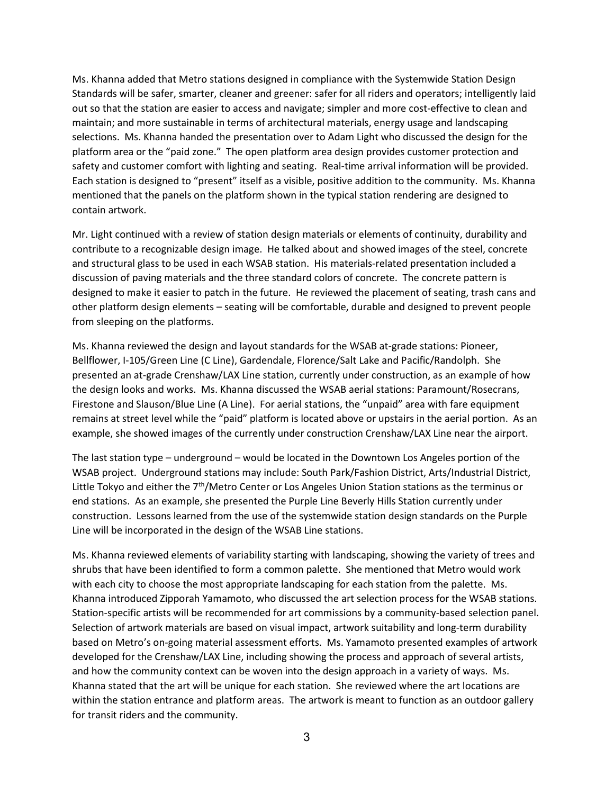Ms. Khanna added that Metro stations designed in compliance with the Systemwide Station Design Standards will be safer, smarter, cleaner and greener: safer for all riders and operators; intelligently laid out so that the station are easier to access and navigate; simpler and more cost-effective to clean and maintain; and more sustainable in terms of architectural materials, energy usage and landscaping selections. Ms. Khanna handed the presentation over to Adam Light who discussed the design for the platform area or the "paid zone." The open platform area design provides customer protection and safety and customer comfort with lighting and seating. Real-time arrival information will be provided. Each station is designed to "present" itself as a visible, positive addition to the community. Ms. Khanna mentioned that the panels on the platform shown in the typical station rendering are designed to contain artwork.

Mr. Light continued with a review of station design materials or elements of continuity, durability and contribute to a recognizable design image. He talked about and showed images of the steel, concrete and structural glass to be used in each WSAB station. His materials-related presentation included a discussion of paving materials and the three standard colors of concrete. The concrete pattern is designed to make it easier to patch in the future. He reviewed the placement of seating, trash cans and other platform design elements – seating will be comfortable, durable and designed to prevent people from sleeping on the platforms.

Ms. Khanna reviewed the design and layout standards for the WSAB at-grade stations: Pioneer, Bellflower, I-105/Green Line (C Line), Gardendale, Florence/Salt Lake and Pacific/Randolph. She presented an at-grade Crenshaw/LAX Line station, currently under construction, as an example of how the design looks and works. Ms. Khanna discussed the WSAB aerial stations: Paramount/Rosecrans, Firestone and Slauson/Blue Line (A Line). For aerial stations, the "unpaid" area with fare equipment remains at street level while the "paid" platform is located above or upstairs in the aerial portion. As an example, she showed images of the currently under construction Crenshaw/LAX Line near the airport.

The last station type – underground – would be located in the Downtown Los Angeles portion of the WSAB project. Underground stations may include: South Park/Fashion District, Arts/Industrial District, Little Tokyo and either the  $7<sup>th</sup>/Metro Center or Los Angeles Union Station stations as the terminus or$ end stations. As an example, she presented the Purple Line Beverly Hills Station currently under construction. Lessons learned from the use of the systemwide station design standards on the Purple Line will be incorporated in the design of the WSAB Line stations.

Ms. Khanna reviewed elements of variability starting with landscaping, showing the variety of trees and shrubs that have been identified to form a common palette. She mentioned that Metro would work with each city to choose the most appropriate landscaping for each station from the palette. Ms. Khanna introduced Zipporah Yamamoto, who discussed the art selection process for the WSAB stations. Station-specific artists will be recommended for art commissions by a community-based selection panel. Selection of artwork materials are based on visual impact, artwork suitability and long-term durability based on Metro's on-going material assessment efforts. Ms. Yamamoto presented examples of artwork developed for the Crenshaw/LAX Line, including showing the process and approach of several artists, and how the community context can be woven into the design approach in a variety of ways. Ms. Khanna stated that the art will be unique for each station. She reviewed where the art locations are within the station entrance and platform areas. The artwork is meant to function as an outdoor gallery for transit riders and the community.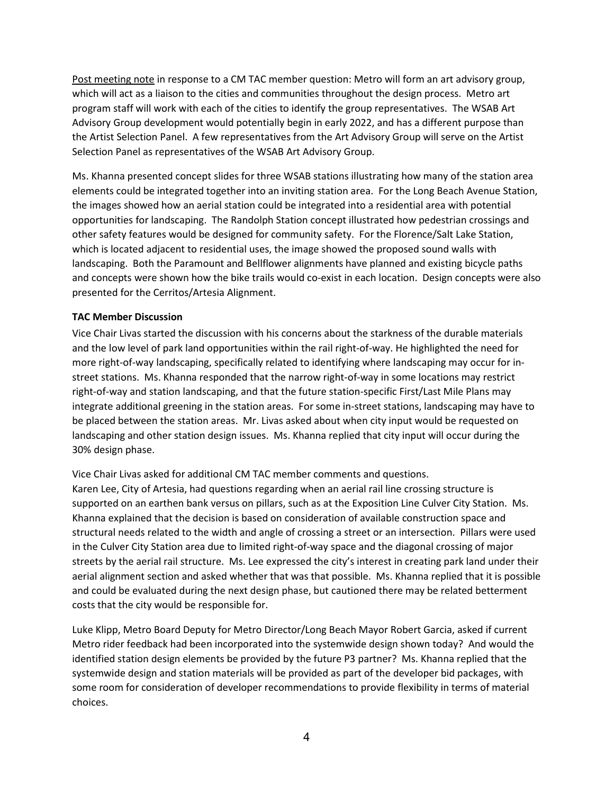Post meeting note in response to a CM TAC member question: Metro will form an art advisory group, which will act as a liaison to the cities and communities throughout the design process. Metro art program staff will work with each of the cities to identify the group representatives. The WSAB Art Advisory Group development would potentially begin in early 2022, and has a different purpose than the Artist Selection Panel. A few representatives from the Art Advisory Group will serve on the Artist Selection Panel as representatives of the WSAB Art Advisory Group.

Ms. Khanna presented concept slides for three WSAB stations illustrating how many of the station area elements could be integrated together into an inviting station area. For the Long Beach Avenue Station, the images showed how an aerial station could be integrated into a residential area with potential opportunities for landscaping. The Randolph Station concept illustrated how pedestrian crossings and other safety features would be designed for community safety. For the Florence/Salt Lake Station, which is located adjacent to residential uses, the image showed the proposed sound walls with landscaping. Both the Paramount and Bellflower alignments have planned and existing bicycle paths and concepts were shown how the bike trails would co-exist in each location. Design concepts were also presented for the Cerritos/Artesia Alignment.

# TAC Member Discussion

Vice Chair Livas started the discussion with his concerns about the starkness of the durable materials and the low level of park land opportunities within the rail right-of-way. He highlighted the need for more right-of-way landscaping, specifically related to identifying where landscaping may occur for instreet stations. Ms. Khanna responded that the narrow right-of-way in some locations may restrict right-of-way and station landscaping, and that the future station-specific First/Last Mile Plans may integrate additional greening in the station areas. For some in-street stations, landscaping may have to be placed between the station areas. Mr. Livas asked about when city input would be requested on landscaping and other station design issues. Ms. Khanna replied that city input will occur during the 30% design phase.

Vice Chair Livas asked for additional CM TAC member comments and questions. Karen Lee, City of Artesia, had questions regarding when an aerial rail line crossing structure is supported on an earthen bank versus on pillars, such as at the Exposition Line Culver City Station. Ms. Khanna explained that the decision is based on consideration of available construction space and structural needs related to the width and angle of crossing a street or an intersection. Pillars were used in the Culver City Station area due to limited right-of-way space and the diagonal crossing of major streets by the aerial rail structure. Ms. Lee expressed the city's interest in creating park land under their aerial alignment section and asked whether that was that possible. Ms. Khanna replied that it is possible and could be evaluated during the next design phase, but cautioned there may be related betterment costs that the city would be responsible for.

Luke Klipp, Metro Board Deputy for Metro Director/Long Beach Mayor Robert Garcia, asked if current Metro rider feedback had been incorporated into the systemwide design shown today? And would the identified station design elements be provided by the future P3 partner? Ms. Khanna replied that the systemwide design and station materials will be provided as part of the developer bid packages, with some room for consideration of developer recommendations to provide flexibility in terms of material choices.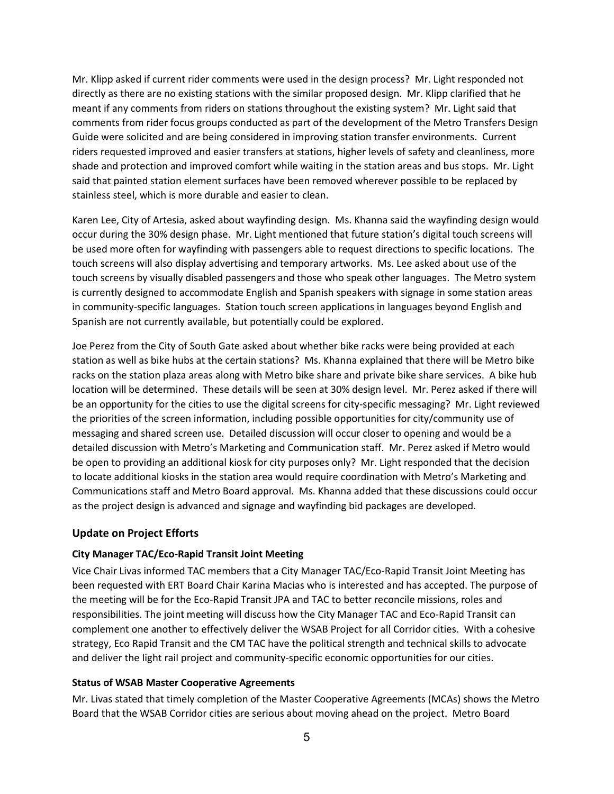Mr. Klipp asked if current rider comments were used in the design process? Mr. Light responded not directly as there are no existing stations with the similar proposed design. Mr. Klipp clarified that he meant if any comments from riders on stations throughout the existing system? Mr. Light said that comments from rider focus groups conducted as part of the development of the Metro Transfers Design Guide were solicited and are being considered in improving station transfer environments. Current riders requested improved and easier transfers at stations, higher levels of safety and cleanliness, more shade and protection and improved comfort while waiting in the station areas and bus stops. Mr. Light said that painted station element surfaces have been removed wherever possible to be replaced by stainless steel, which is more durable and easier to clean.

Karen Lee, City of Artesia, asked about wayfinding design. Ms. Khanna said the wayfinding design would occur during the 30% design phase. Mr. Light mentioned that future station's digital touch screens will be used more often for wayfinding with passengers able to request directions to specific locations. The touch screens will also display advertising and temporary artworks. Ms. Lee asked about use of the touch screens by visually disabled passengers and those who speak other languages. The Metro system is currently designed to accommodate English and Spanish speakers with signage in some station areas in community-specific languages. Station touch screen applications in languages beyond English and Spanish are not currently available, but potentially could be explored.

Joe Perez from the City of South Gate asked about whether bike racks were being provided at each station as well as bike hubs at the certain stations? Ms. Khanna explained that there will be Metro bike racks on the station plaza areas along with Metro bike share and private bike share services. A bike hub location will be determined. These details will be seen at 30% design level. Mr. Perez asked if there will be an opportunity for the cities to use the digital screens for city-specific messaging? Mr. Light reviewed the priorities of the screen information, including possible opportunities for city/community use of messaging and shared screen use. Detailed discussion will occur closer to opening and would be a detailed discussion with Metro's Marketing and Communication staff. Mr. Perez asked if Metro would be open to providing an additional kiosk for city purposes only? Mr. Light responded that the decision to locate additional kiosks in the station area would require coordination with Metro's Marketing and Communications staff and Metro Board approval. Ms. Khanna added that these discussions could occur as the project design is advanced and signage and wayfinding bid packages are developed.

#### Update on Project Efforts

#### City Manager TAC/Eco-Rapid Transit Joint Meeting

Vice Chair Livas informed TAC members that a City Manager TAC/Eco-Rapid Transit Joint Meeting has been requested with ERT Board Chair Karina Macias who is interested and has accepted. The purpose of the meeting will be for the Eco-Rapid Transit JPA and TAC to better reconcile missions, roles and responsibilities. The joint meeting will discuss how the City Manager TAC and Eco-Rapid Transit can complement one another to effectively deliver the WSAB Project for all Corridor cities. With a cohesive strategy, Eco Rapid Transit and the CM TAC have the political strength and technical skills to advocate and deliver the light rail project and community-specific economic opportunities for our cities.

#### Status of WSAB Master Cooperative Agreements

Mr. Livas stated that timely completion of the Master Cooperative Agreements (MCAs) shows the Metro Board that the WSAB Corridor cities are serious about moving ahead on the project. Metro Board